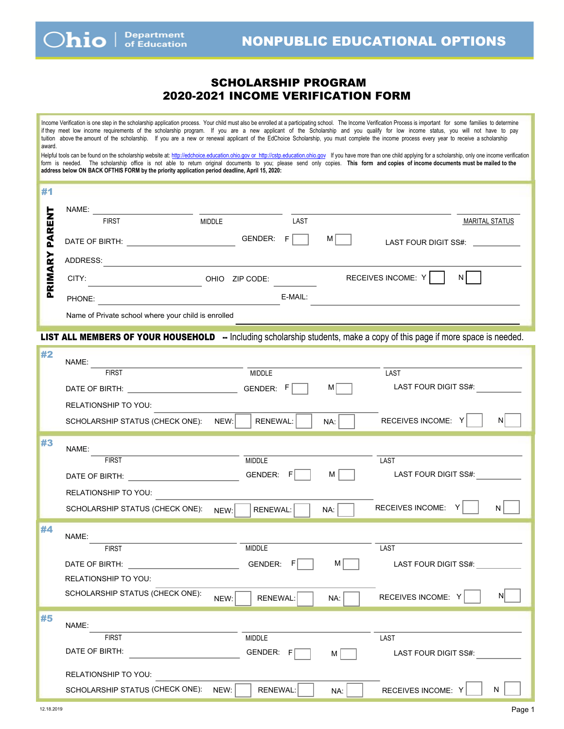## SCHOLARSHIP PROGRAM 2020-2021 INCOME VERIFICATION FORM

<span id="page-0-0"></span>Income Verification is one step in the scholarship application pro[cess. Your child must also be en](http://cstp.education.ohio.gov)rolled at a participating school. The Income Verification Process is important for some families to determine if they meet low income requirements of the scholarship program. If you are a new applicant of the Scholarship and you qualify for low income status, you will not have to pay tuition above the amount of the scholarship. If you are a new or renewal applicant of the EdChoice Scholarship, you must complete the income process every year to receive a scholarship award. Helpful tools can be found on the scholarship website at: http://edchoice.education.ohio.gov or http://cstp.education.ohio.gov If you have more than one child applying for a scholarship, only one income verification form is needed. The scholarship office is not able to return original documents to you; please send only copies. **This form and copies of income documents must be mailed to the address below ON BACK OFTHIS FORM by the priority application period deadline.** #1 ENT PRIMARY PARENT NAME: FIRST MIDDLE LAST MARITAL STATUS PARI DATE OF BIRTH: GENDER: F M LAST FOUR DIGIT SS#: RIMARY ADDRESS: OHIO ZIP CODE: RECEIVES INCOME: Y N  $\mathbf{a}$ PHONE: E-MAIL: Name of Private school where your child is enrolled LIST ALL MEMBERS OF YOUR HOUSEHOLD -- Including scholarship students, make a copy of this page if more space is needed. #2 NAME: FIRST MIDDLE LAST DATE OF BIRTH:  $\begin{matrix} \begin{matrix} \end{matrix} & \end{matrix}$  GENDER:  $\begin{matrix} F & \end{matrix}$  M  $\begin{matrix} \end{matrix}$  LAST FOUR DIGIT SS#: RELATIONSHIP TO YOU: SCHOLARSHIP STATUS (CHECK ONE): NEW: RENEWAL: NA: RECEIVES INCOME: Y N #3 NAME: FIRST NUMBER AND MIDDLE THIS IS A RESERVE TO A LAST DATE OF BIRTH:  $\begin{array}{ccc} \texttt{1} & \texttt{2} & \texttt{3} & \texttt{4} \end{array}$  GENDER:  $\begin{array}{ccc} \texttt{2} & \texttt{3} & \texttt{4} & \texttt{5} \end{array}$  and  $\begin{array}{ccc} \texttt{3} & \texttt{4} & \texttt{5} & \texttt{6} \end{array}$  and  $\begin{array}{ccc} \texttt{4} & \texttt{5} & \texttt{6} & \texttt{6} \end{array}$ RELATIONSHIP TO YOU: SCHOLARSHIP STATUS (CHECK ONE):  $N$ <sub>NEW</sub>: RENEWAL:  $\Box$  NA: RECEIVES INCOME: Y | N #4 NAME: FIRST MIDDLE LAST DATE OF BIRTH:  $\begin{array}{ccc} \text{B} & \text{A} \end{array}$   $\begin{array}{ccc} \text{B} & \text{C} \end{array}$   $\begin{array}{ccc} \text{A} & \text{A} \end{array}$   $\begin{array}{ccc} \text{A} & \text{A} \end{array}$   $\begin{array}{ccc} \text{A} & \text{A} \end{array}$   $\begin{array}{ccc} \text{A} & \text{B} \end{array}$ RELATIONSHIP TO YOU: SCHOLARSHIP STATUS (CHECK ONE):  $N$  NEW: RENEWAL:  $\begin{array}{|c|c|c|c|c|}\hline \text{N}}\text{A}: & \text{N}}\ \hline \text{N}}\text{B}: & \text{N}}\ \hline \text{N}}\ \hline \text{N}: & \text{N}}\ \hline \text{N}: & \text{N}}\ \hline \text{N}: & \text{N}}\ \hline \text{N}: & \text{N}}\ \hline \text{N}: & \text{N}}\ \hline \text{N}: & \text{N}}\ \hline \text{N}: & \text{N}}\$ #5 NAME: FIRST MIDDLE LAST DATE OF BIRTH:  $GENDER: F \quad M \quad M$  LAST FOUR DIGIT SS#: RELATIONSHIP TO YOU: SCHOLARSHIP STATUS (CHECK ONE):  $NEW: |$  RENEWAL:  $|$  NA: RECEIVES INCOME: Y | N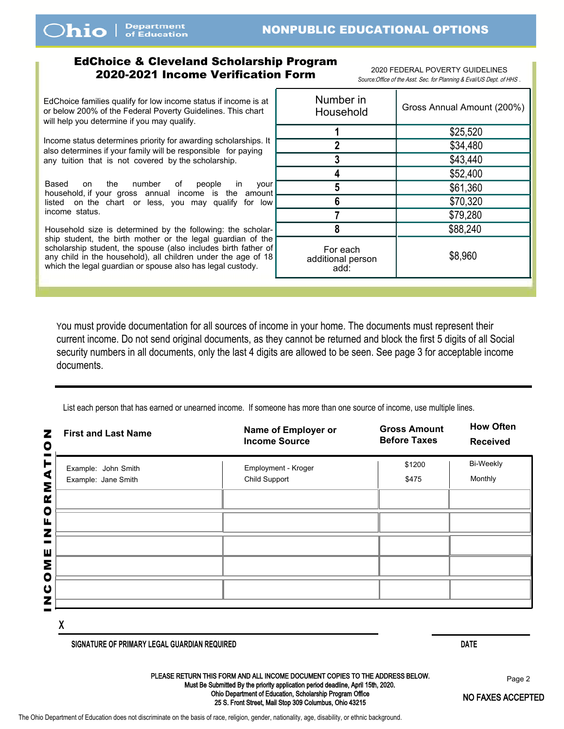## <span id="page-1-0"></span>EdChoice & Cleveland Scholarship Program 2020-2021 Income Verification Form *Source:*Office of the Asst. Sec. for Planning & Eval/US Dept. of HHS *.*

2020 FEDERAL POVERTY GUIDELINES

Scholarship families qualify for low income status if income is at or below 200% of the Federal Poverty Guidelines. This chart will help you determine if you may qualify.

Income status determines priority for awarding scholarships. It also determines if your family will be responsible for paying any tuition that is not covered by the scholarship.

Based on the number of people in your household, if your gross annual income is the amount listed on the chart or less, you may qualify for low income status.

Household size is determined by the following: the scholarship student, the birth mother or the legal guardian of the scholarship student, the spouse (also includes birth father of any child in the household), all children under the age of 18 which the legal guardian or spouse also has legal custody.

| Number in<br>Household                | Gross Annual Amount (200%) |  |  |
|---------------------------------------|----------------------------|--|--|
| 1                                     | \$25,520                   |  |  |
| $\overline{2}$                        | \$34,480                   |  |  |
| 3                                     | \$43,440                   |  |  |
| 4                                     | \$52,400                   |  |  |
| 5                                     | \$61,360                   |  |  |
| 6                                     | \$70,320                   |  |  |
|                                       | \$79,280                   |  |  |
| 8                                     | \$88,240                   |  |  |
| For each<br>additional person<br>add: | \$8,960                    |  |  |

You must provide documentation for all sources of income in your home. The documents must represent their current income. Do not send original documents, as they cannot be returned and block the first 5 digits of all Social security numbers in all documents, only the last 4 digits are allowed to be seen. See page 3 for acceptable income documents.

List each person that has earned or unearned income. If someone has more than one source of income, use multiple lines.

| <b>First and Last Name</b><br>z<br>O                                    | Name of Employer or<br><b>Income Source</b> | <b>Gross Amount</b><br><b>Before Taxes</b> | <b>How Often</b><br><b>Received</b> |
|-------------------------------------------------------------------------|---------------------------------------------|--------------------------------------------|-------------------------------------|
| ۳<br>Example: John Smith<br>$\blacktriangleleft$<br>Example: Jane Smith | Employment - Kroger<br>Child Support        | \$1200<br>\$475                            | <b>Bi-Weekly</b><br>Monthly         |
| Σ<br>œ                                                                  |                                             |                                            |                                     |
| $\bullet$<br>Щ                                                          |                                             |                                            |                                     |
| z<br>Ш                                                                  |                                             |                                            |                                     |
| Σ<br>$\bullet$                                                          |                                             |                                            |                                     |
| $\mathbf{\omega}$<br>z                                                  |                                             |                                            |                                     |
|                                                                         |                                             |                                            |                                     |

X

**SIGNATURE OF PRIMARY LEGAL GUARDIAN REQUIRED DATE** 

PLEASE RETURN THIS FORM AND ALL INCOME DOCUMENT COPIES TO THE ADDRESS BELOW. Must Be Submitted By the priority application period deadline. Ohio Department of Education, Scholarship Program Office 25 S. Front Street, Mail Stop 309 Columbus, Ohio 43215

Page 2

[NO FAXES ACCEP](#page-0-0)TED

The Ohio Department of Education does not discriminate on the basis of race, religion, gender, nationality, age, disability, or ethnic background.